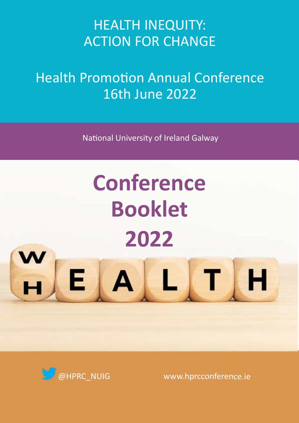## HEALTH INEQUITY: ACTION FOR CHANGE

## Health Promotion Annual Conference 16th June 2022

National University of Ireland Galway

# **Conference Booklet 2022**



Е

۳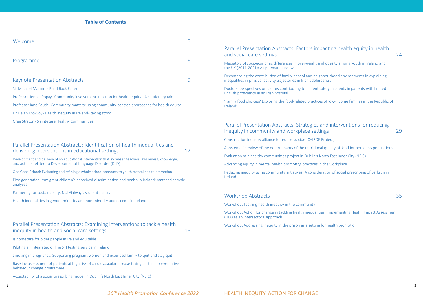### **Table of Contents**

| Welcome                                                                                       | 5 |
|-----------------------------------------------------------------------------------------------|---|
| Programme                                                                                     | 6 |
|                                                                                               |   |
| <b>Keynote Presentation Abstracts</b>                                                         | 9 |
| Sir Michael Marmot - Build Back Fairer                                                        |   |
| Professor Jennie Popay- Community involvement in action for health equity: A cautionary tale  |   |
| Professor Jane South- Community matters: using community-centred approaches for health equity |   |
| Dr Helen McAvoy-Health inequity in Ireland-taking stock                                       |   |
| Greg Straton - Sláintecare Healthy Communities                                                |   |
|                                                                                               |   |
|                                                                                               |   |

### [Parallel Presentation Abstracts: Identification of health inequalities and](#page-6-0)  [delivering interventions in educational settings](#page-6-0) and the state of [12](#page-6-0)

### [Parallel Presentation Abstracts: Examining interventions to tackle health](#page-9-0)  [inequity in health and social care settings](#page-9-0) and the state of the state of the state of the state of the state o

[Development and delivery of an educational intervention that increased teachers' awareness, knowledge,](#page-7-0)  [and actions related to Developmental Language Disorder \(DLD\)](#page-7-0) 

[One Good School: Evaluating and refining a whole-school approach to youth mental health promotion](#page-7-0)

[First-generation immigrant children's perceived discrimination and health in Ireland; matched sample](#page-7-0)  [analyses](#page-7-0)

[Partnering for sustainability: NUI Galway's student pantry](#page-8-0)

[Health inequalities in gender minority and non-minority adolescents in Ireland](#page-8-0) 

[Is homecare for older people in Ireland equitable?](#page-9-0) 

[Piloting an integrated online STI testing service in Ireland.](#page-10-0)

[Smoking in pregnancy: Supporting pregnant women and extended family to quit and stay quit](#page-10-0) 

[Baseline assessment of patients at high risk of cardiovascular disease taking part in a preventative](#page-11-0)  [behaviour change programme](#page-11-0)

[Acceptability of a social prescribing model in Dublin's North East Inner City \(NEIC\)](#page-11-0)

[the UK \(2011-2021\): A systematic review](#page-12-0)

[English proficiency in an Irish hospital](#page-13-0) 

## [Parallel Presentation Abstracts: Factors impacting health equity in health](#page-12-0)  [and social care settings](#page-12-0) 24 [Mediators of socioeconomic differences in overweight and obesity among youth in Ireland and](#page-12-0)  [Decomposing the contribution of family, school and neighbourhood environments in explaining](#page-13-0)  [inequalities in physical activity trajectories in Irish adolescents.](#page-13-0) [Doctors' perspectives on factors contributing to patient safety incidents in patients with limited](#page-13-0)  ['Family food choices? Exploring the food-related practices of low-income families in the Republic of](#page-14-0)  [Parallel Presentation Abstracts: Strategies and interventions for reducing](#page-14-0)  [inequity in community and workplace settings](#page-14-0) and  $29$ [Construction industry alliance to reduce suicide \(CAIRDE Project\)](#page-15-0) [A systematic review of the determinants of the nutritional quality of food for homeless populations](#page-15-0)  [Evaluation of a healthy communities project in Dublin's North East Inner City \(NEIC\)](#page-16-0)  [Advancing equity in mental health promoting practices in the workplace](#page-16-0) [Reducing inequity using community initiatives: A consideration of social prescribing of parkrun in](#page-17-0)

Ireland'

[Ireland.](#page-17-0) 

### [Workshop Abstracts](#page-17-0) 35

[Workshop: Tackling health inequity in the community](#page-18-0) 

[Workshop: Action for change in tackling health inequalities: Implementing Health Impact Assessment](#page-18-0)  [\(HIA\) as an intersectoral approach](#page-18-0)

[Workshop: Addressing inequity in the prison as a setting for health promotion](#page-18-0)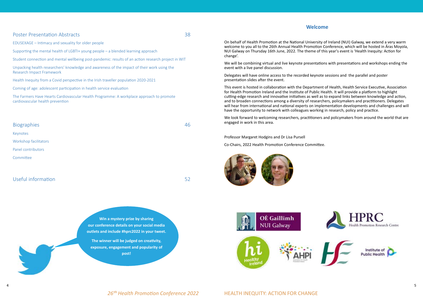[EDUSEXAGE – Intimacy and sexuality for older people](#page-19-0)

[Supporting the mental health of LGBTI+ young people – a blended learning approach](#page-20-0) 

[Student connection and mental wellbeing post-pandemic: results of an action research project in WIT](#page-20-0)

[Unpacking health researchers' knowledge and awareness of the impact of their work using the](#page-21-0)  [Research Impact Framework](#page-21-0)

[Health Inequity from a Covid perspective in the Irish traveller population 2020-2021](#page-21-0)

[Coming of age: adolescent participation in health service evaluation](#page-22-0)

[The Farmers Have Hearts Cardiovascular Health Programme: A workplace approach to promote](#page-22-0)  [cardiovascular health prevention](#page-22-0) 

## [Biographies](#page-23-0) [46](#page-23-0) [Keynotes](#page-23-0) [Workshop facilitators](#page-24-0) [Panel contributors](#page-25-0) [Committee](#page-25-0)

### Useful information [5](#page-26-0)2

### **Welcome**

#### <span id="page-2-0"></span>[Poster Presentation Abstracts](#page-19-0) 38

On behalf of Health Promotion at the National University of Ireland (NUI) Galway, we extend a very warm welcome to you all to the 26th Annual Health Promotion Conference, which will be hosted in Áras Moyola, NUI Galway on Thursday 16th June, 2022. The theme of this year's event is 'Health Inequity: Action for change'.

We will be combining virtual and live keynote presentations with presentations and workshops ending the event with a live panel discussion.

Delegates will have online access to the recorded keynote sessions and the parallel and poster presentation slides after the event.

This event is hosted in collaboration with the Department of Health, Health Service Executive, Association for Health Promotion Ireland and the Institute of Public Health. It will provide a platform to highlight cutting-edge research and innovative initiatives as well as to expand links between knowledge and action, and to broaden connections among a diversity of researchers, policymakers and practitioners. Delegates will hear from international and national experts on implementation developments and challenges and will have the opportunity to network with colleagues working in research, policy and practice.

We look forward to welcoming researchers, practitioners and policymakers from around the world that are engaged in work in this area.

Professor Margaret Hodgins and Dr Lisa Pursell

Co-Chairs, 2022 Health Promotion Conference Committee.





### 26<sup>th</sup> Health Promotion Conference 2022 **HEALTH INEQUITY: ACTION FOR CHANGE**







**Win a mystery prize by sharing our conference details on your social media outlets and include #hprc2022 in your tweet.**

**The winner will be judged on creativity, exposure, engagement and popularity of post!**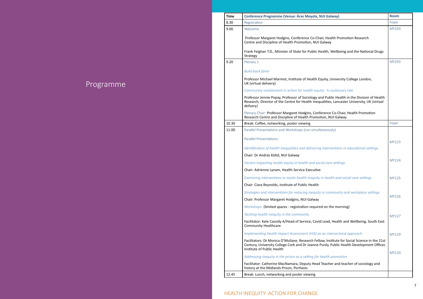| <b>Time</b> | <b>Conference Programme (Venue: Áras Moyola, NUI Galway)</b>                                                                                                                                                           | <b>Room</b> |
|-------------|------------------------------------------------------------------------------------------------------------------------------------------------------------------------------------------------------------------------|-------------|
| 8.30        | Registration                                                                                                                                                                                                           | Foyer       |
| 9.00        | Welcome                                                                                                                                                                                                                | <b>MY24</b> |
|             | Professor Margaret Hodgins, Conference Co-Chair, Health Promotion Research<br>Centre and Discipline of Health Promotion, NUI Galway                                                                                    |             |
|             | Frank Feighan T.D., Minister of State for Public Health, Wellbeing and the National Drugs<br>Strategy                                                                                                                  |             |
| 9.20        | Plenary 1                                                                                                                                                                                                              | <b>MY24</b> |
|             | <b>Build back fairer</b>                                                                                                                                                                                               |             |
|             | Professor Michael Marmot, Institute of Health Equity, University College London,<br>UK (virtual delivery)                                                                                                              |             |
|             | Community involvement in action for health equity: A cautionary tale                                                                                                                                                   |             |
|             | Professor Jennie Popay, Professor of Sociology and Public Health in the Division of Health<br>Research, Director of the Centre for Health Inequalities, Lancaster University, UK (virtual<br>delivery)                 |             |
|             | Plenary Chair: Professor Margaret Hodgins, Conference Co-Chair, Health Promotion<br>Research Centre and Discipline of Health Promotion, NUI Galway                                                                     |             |
| 10.30       | Break: Coffee, networking, poster viewing                                                                                                                                                                              | Foyer       |
| 11.00       | Parallel Presentations and Workshops (run simultaneously)                                                                                                                                                              |             |
|             | <b>Parallel Presentations:</b>                                                                                                                                                                                         | <b>MY12</b> |
|             | Identification of health inequalities and delivering interventions in educational settings                                                                                                                             |             |
|             | Chair: Dr András Költő, NUI Galway                                                                                                                                                                                     |             |
|             | Factors impacting health equity in health and social care settings                                                                                                                                                     | <b>MY12</b> |
|             | Chair: Adrienne Lynam, Health Service Executive                                                                                                                                                                        |             |
|             | Examining interventions to tackle health inequity in health and social care settings                                                                                                                                   | <b>MY12</b> |
|             | Chair: Ciara Reynolds, Institute of Public Health                                                                                                                                                                      |             |
|             | Strategies and interventions for reducing inequity in community and workplace settings                                                                                                                                 |             |
|             | Chair: Professor Margaret Hodgins, NUI Galway                                                                                                                                                                          | <b>MY12</b> |
|             | Workshops: (limited spaces - registration required on the morning)                                                                                                                                                     |             |
|             | Tackling health inequity in the community                                                                                                                                                                              | <b>MY12</b> |
|             | Facilitator: Kate Cassidy A/Head of Service, Covid Lead, Health and Wellbeing, South East<br><b>Community Healthcare</b>                                                                                               |             |
|             | Implementing Health Impact Assessment (HIA) as an intersectoral approach                                                                                                                                               | <b>MY12</b> |
|             | Facilitators: Dr Monica O'Mullane, Research Fellow, Institute for Social Science in the 21st<br>Century, University College Cork and Dr Joanne Purdy, Public Health Development Officer,<br>Institute of Public Health |             |
|             | Addressing inequity in the prison as a setting for health promotion                                                                                                                                                    | <b>MY12</b> |
|             | Facilitator: Catherine MacNamara, Deputy Head Teacher and teacher of sociology and<br>history at the Midlands Prison, Portlaois                                                                                        |             |
| 12.45       | Break: Lunch, networking and poster viewing                                                                                                                                                                            |             |

### **26th INEQUITY: ACTION FOR CHANGE**

## Programme

<span id="page-3-0"></span>

| <b>NUI Galway)</b>                                                                         | <b>Room</b>  |
|--------------------------------------------------------------------------------------------|--------------|
|                                                                                            | Foyer        |
|                                                                                            | MY243        |
| air, Health Promotion Research<br>Galway                                                   |              |
| lealth, Wellbeing and the National Drugs                                                   |              |
|                                                                                            | MY243        |
|                                                                                            |              |
| quity, University College London,                                                          |              |
| iity: A cautionary tale                                                                    |              |
| Ind Public Health in the Division of Health<br>ualities, Lancaster University, UK (virtual |              |
| ference Co-Chair, Health Promotion<br>tion, NUI Galway                                     |              |
|                                                                                            | Foyer        |
| taneously)                                                                                 |              |
|                                                                                            |              |
| g interventions in educational settings                                                    | <b>MY123</b> |
| cial care settings                                                                         | MY124        |
| Ê<br>in health and social care settings                                                    | <b>MY125</b> |
|                                                                                            |              |
| y in community and workplace settings                                                      | MY126        |
| ed on the morning)                                                                         |              |
|                                                                                            |              |
| d Lead, Health and Wellbeing, South East                                                   | MY127        |
| s an intersectoral approach                                                                | MY129        |
| low, Institute for Social Science in the 21st<br>Purdy, Public Health Development Officer, |              |
| health promotion                                                                           | <b>MY120</b> |
| I Teacher and teacher of sociology and                                                     |              |
|                                                                                            |              |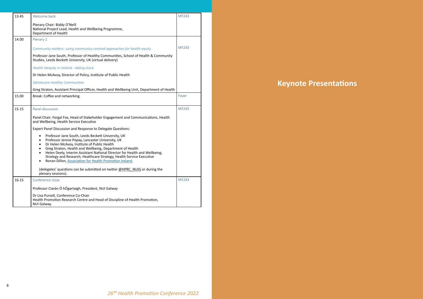<span id="page-4-0"></span>

| 13.45 | Welcome back                                                                                                                                                                                                                                                                                                                                                                                                                                                                                       | MY243 |
|-------|----------------------------------------------------------------------------------------------------------------------------------------------------------------------------------------------------------------------------------------------------------------------------------------------------------------------------------------------------------------------------------------------------------------------------------------------------------------------------------------------------|-------|
|       | Plenary Chair: Biddy O'Neill<br>National Project Lead, Health and Wellbeing Programme,<br>Department of Health                                                                                                                                                                                                                                                                                                                                                                                     |       |
| 14.00 | Plenary 2                                                                                                                                                                                                                                                                                                                                                                                                                                                                                          |       |
|       | Community matters: using community-centred approaches for health equity                                                                                                                                                                                                                                                                                                                                                                                                                            | MY243 |
|       | Professor Jane South, Professor of Healthy Communities, School of Health & Community<br>Studies, Leeds Beckett University, UK (virtual delivery)                                                                                                                                                                                                                                                                                                                                                   |       |
|       | Health inequity in Ireland - taking stock                                                                                                                                                                                                                                                                                                                                                                                                                                                          |       |
|       | Dr Helen McAvoy, Director of Policy, Institute of Public Health                                                                                                                                                                                                                                                                                                                                                                                                                                    |       |
|       | Sláintecare Healthy Communities                                                                                                                                                                                                                                                                                                                                                                                                                                                                    |       |
|       | Greg Straton, Assistant Principal Officer, Health and Wellbeing Unit, Department of Health                                                                                                                                                                                                                                                                                                                                                                                                         |       |
| 15.00 | Break: Coffee and networking                                                                                                                                                                                                                                                                                                                                                                                                                                                                       | Foyer |
|       |                                                                                                                                                                                                                                                                                                                                                                                                                                                                                                    |       |
| 15.15 | Panel discussion                                                                                                                                                                                                                                                                                                                                                                                                                                                                                   | MY243 |
|       | Panel Chair: Fergal Fox, Head of Stakeholder Engagement and Communications, Health<br>and Wellbeing, Health Service Executive                                                                                                                                                                                                                                                                                                                                                                      |       |
|       | Expert Panel Discussion and Response to Delegate Questions:                                                                                                                                                                                                                                                                                                                                                                                                                                        |       |
|       | Professor Jane South, Leeds Beckett University, UK<br>$\bullet$<br>Professor Jennie Popay, Lancaster University, UK<br>$\bullet$<br>Dr Helen McAvoy, Institute of Public Health<br>$\bullet$<br>Greg Straton, Health and Wellbeing, Department of Health<br>$\bullet$<br>Helen Deely, Interim Assistant National Director for Health and Wellbeing,<br>$\bullet$<br>Strategy and Research, Healthcare Strategy, Health Service Executive<br>Ronan Dillon, Association for Health Promotion Ireland |       |
|       | (delegates' questions can be submitted on twitter @HPRC_NUIG or during the<br>plenary sessions).                                                                                                                                                                                                                                                                                                                                                                                                   |       |
| 16.15 | Conference close                                                                                                                                                                                                                                                                                                                                                                                                                                                                                   | MY243 |
|       | Professor Ciarán Ó hÓgartaigh, President, NUI Galway                                                                                                                                                                                                                                                                                                                                                                                                                                               |       |
|       | Dr Lisa Pursell, Conference Co-Chair<br>Health Promotion Research Centre and Head of Discipline of Health Promotion,<br>NUI Galway.                                                                                                                                                                                                                                                                                                                                                                |       |

**Keynote Presentations**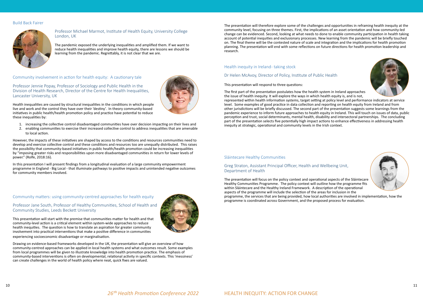





#### <span id="page-5-0"></span>Build Back Fairer



#### Professor Michael Marmot, Institute of Health Equity, University College London, UK

The pandemic exposed the underlying inequalities and amplified them. If we want to reduce health inequalities and improve health equity, there are lessons we should be learning from the pandemic. Regrettably, it is not clear that we are.

Community involvement in action for health equity: A cautionary tale

Professor Jennie Popay, Professor of Sociology and Public Health in the Division of Health Research, Director of the Centre for Health Inequalities, Lancaster University, UK

Health inequalities are caused by structural inequalities in the conditions in which people live and work and the control they have over their 'destiny'. In theory community-based initiatives in public health/health promotion policy and practice have potential to reduce these inequalities by:

- 1. increasing the collective control disadvantaged communities have over decision impacting on their lives and
- 2. enabling communities to exercise their increased collective control to address inequalities that are amenable to local action.

However, the impacts of these initiatives are shaped by access to the conditions and resources communities need to develop and exercise collective control and these conditions and resources too are unequally distributed. This raises the possibility that community-based initiatives in public health/health promotion could be increasing inequalities by "imposing greater risks and responsibilities upon more disadvantaged communities in return for lower levels of power." (Rolfe, 2018:16).

In this presentation I will present findings from a longitudinal evaluation of a large community empowerment programme in England - Big Local - that illuminate pathways to positive impacts and unintended negative outcomes for community members involved.

Community matters: using community-centred approaches for health equity

#### Professor Jane South, Professor of Healthy Communities, School of Health and Community Studies, Leeds Beckett University

This presentation will start with the premise that communities matter for health and that community-level action is a critical element within system-wide approaches to reduce health inequities. The question is how to translate an aspiration for greater community involvement into practical interventions that make a positive difference in communities experiencing socioeconomic disadvantage or marginalisation.

Drawing on evidence-based frameworks developed in the UK, the presentation will give an overview of how community-centred approaches can be applied in local health systems and what outcomes result. Some examples from local programmes will be given to illustrate knowledge into health promotion practice. The emphasis of community-based interventions is often on developmental, relational activity in specific contexts. This 'messiness' can create challenges in the world of health policy where neat, quick fixes are valued.



The presentation will therefore explore some of the challenges and opportunities in reframing health inequity at the community level, focusing on three themes. First, the implications of an asset orientation and how community-led change can be evidenced. Second, looking at what needs to done to enable community participation in health taking account of potential inequities and exclusionary processes. New learning from the pandemic will be briefly touched on. The final theme will be the contested nature of scale and integration and the implications for health promotion planning. The presentation will end with some reflections on future directions for health promotion leadership and research.

#### Health inequity in Ireland-taking stock

#### Dr Helen McAvoy, Director of Policy, Institute of Public Health

#### This presentation will respond to three questions:

The first part of the presentation postulates how the health system in Ireland approaches the issue of health inequity. It will explore the ways in which health equity is, and is not, represented within health information systems, target setting at policy level and performance indicators at service level. Some examples of good practice in data collection and reporting on health equity from Ireland and from other jurisdictions will be briefly discussed. The second part of the presentation suggests some learnings from the pandemic experience to inform future approaches to health equity in Ireland. This will touch on issues of data, public perception and trust, social determinants, mental health, disability and intersectoral partnerships. The concluding part of the presentation selects five potentially high impact actions to enhance effectiveness in addressing health inequity at strategic, operational and community levels in the Irish context.

#### Sláintecare Healthy Communities

#### Greg Straton, Assistant Principal Officer, Health and Wellbeing Unit, Department of Health

The presentation will focus on the policy context and operational aspects of the Sláintecare Healthy Communities Programme. The policy context will outline how the programme fits within Sláintecare and the Healthy Ireland Framework. A description of the operational aspects of the programme will include the selection of the areas for inclusion in the programme, the services that are being provided, how local authorities are involved in implementation, how the programme is coordinated across Government, and the proposed process for evaluation.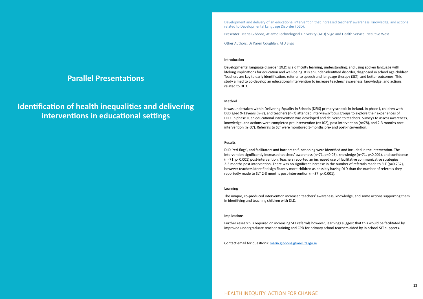## <span id="page-6-0"></span>**Parallel Presentations**

## **Identification of health inequalities and delivering interventions in educational settings**

Development and delivery of an educational intervention that increased teachers' awareness, knowledge, and actions related to Developmental Language Disorder (DLD).

Presenter: Maria Gibbons, Atlantic Technological University (ATU) Sligo and Health Service Executive West

Other Authors: Dr Karen Coughlan, ATU Sligo

#### Introduction

Developmental language disorder (DLD) is a difficulty learning, understanding, and using spoken language with lifelong implications for education and well-being. It is an under-identified disorder, diagnosed in school age children. Teachers are key to early identification, referral to speech and language therapy (SLT), and better outcomes. This study aimed to co-develop an educational intervention to increase teachers' awareness, knowledge, and actions related to DLD.

#### Method

It was undertaken within Delivering Equality in Schools (DEIS) primary schools in Ireland. In phase I, children with DLD aged 9-12years (n=7), and teachers (n=7) attended interviews/focus groups to explore their experiences of DLD. In phase II, an educational intervention was developed and delivered to teachers. Surveys to assess awareness, knowledge, and actions were completed pre-intervention (n=102), post-intervention (n=78), and 2-3 months postintervention (n=37). Referrals to SLT were monitored 3-months pre- and post-intervention.

#### Results

DLD 'red-flags', and facilitators and barriers to functioning were identified and included in the intervention. The intervention significantly increased teachers' awareness (n=71, p<0.05), knowledge (n=71, p<0.001), and confidence (n=71, p<0.001) post-intervention. Teachers reported an increased use of facilitative communicative strategies 2-3 months post-intervention. There was no significant increase in the number of referrals made to SLT (p=0.732), however teachers identified significantly more children as possibly having DLD than the number of referrals they reportedly made to SLT 2-3 months post-intervention (n=37, p<0.001).

#### Learning

The unique, co-produced intervention increased teachers' awareness, knowledge, and some actions supporting them in identifying and teaching children with DLD.

#### Implications

Further research is required on increasing SLT referrals however, learnings suggest that this would be facilitated by improved undergraduate teacher training and CPD for primary school teachers aided by in-school SLT supports.

Contact email for questions: [maria.gibbons@mail.itsligo.ie](mailto:maria.gibbons@mail.itsligo.ie)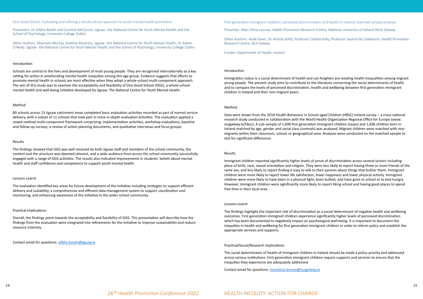<span id="page-7-0"></span>One Good School: Evaluating and refining a whole-school approach to youth mental health promotion

Presenters: Dr Ailbhe Booth and Caroline McCarron, Jigsaw - the National Centre for Youth Mental Health and the School of Psychology, University College Dublin

Other Authors: Maureen Murray, Siobhan McGrory: Jigsaw - the National Centre for Youth Mental Health; Dr Aileen O'Reilly: Jigsaw - the National Centre for Youth Mental Health and the School of Psychology, University College Dublin

#### Introduction

Schools are central to the lives and development of most young people. They are recognised internationally as a key setting for action in ameliorating mental health inequities among this age group. Evidence suggests that efforts to promote mental health in schools are most effective when they adopt a whole-school multi-component approach. The aim of this study was to examine the acceptability and feasibility of One Good School (OGS), a whole-school mental health and well-being initiative developed by Jigsaw: The National Centre for Youth Mental Health.

#### Method

80 schools across 13 Jigsaw catchment areas completed basic evaluation activities recorded as part of normal service delivery, with a subset of 11 schools that took part in more in-depth evaluation activities. The evaluation applied a mixed method multi-component framework comprising: implementation activities, workshop evaluations, baseline and follow-up surveys, a review of action planning documents, and qualitative interviews and focus groups.

#### Results

The findings showed that OGS was well received by both Jigsaw staff and members of the school community, the content and the structure was deemed relevant, and a wide audience from across the school community successfully engaged with a range of OGS activities. The results also indicated improvements in students' beliefs about mental health and staff confidence and competence to support youth mental health.

#### Lessons Learnt

The evaluation identified key areas for future development of the initiative including strategies to support efficient delivery and scalability, a comprehensive and efficient data management system to support coordination and monitoring, and enhancing awareness of the initiative in the wider school community.

#### Practical Implications

Overall, the findings point towards the acceptability and feasibility of OGS. This presentation will describe how the findings from the evaluation were integrated into refinements for the initiative to improve sustainability and reduce resource intensity.

Contact email for questions: [ailbhe.booth@jigsaw.ie](mailto:ailbhe.booth@jigsaw.ie)

First-generation immigrant children's perceived discrimination and health in Ireland; matched sample analyses Presenter: Mari Olivia Lennox, Health Promotion Research Centre, National University of Ireland (NUI) Galway

Other Authors: Aoife Gavin, Dr András Költő, Professor Colette Kelly, Professor Saoirse Nic Gabhainn, Health Promotion Research Centre, NUI Galway

Funder: Department of Health, Ireland

#### Introduction

Immigration status is a social determinant of health and can heighten pre-existing health inequalities among migrant young people. The present study aims to contribute to the literature concerning the social determinants of health and to compare the levels of perceived discrimination, health and wellbeing between first generation immigrant children in Ireland and their non-migrant peers.

#### Method

Data were drawn from the 2018 Health Behaviour in School-aged Children (HBSC) Ireland survey – a cross-national research study conducted in collaboration with the World Health Organization Regional Office for Europe (www. nuigalway.ie/hbsc). A sub-sample of 1,696 first generation immigrant children (cases) and 1,696 children born in Ireland matched by age, gender and social class (controls) was analysed. Migrant children were matched with nonmigrants within their classroom, school, or geographical area. Analyses were conducted on the matched sample to test for significant differences

#### Results

Immigrant children reported significantly higher levels of sense of discrimination across several sectors including place of birth, race, sexual orientation and religion. They were less likely to report having three or more friends of the same sex, and less likely to report finding it easy to talk to their parents about things that bother them. Immigrant children were more likely to report lower life satisfaction, lower happiness and lower physical activity. Immigrant children were more likely to have been in a physical fight, been bullied, and have gone to school or to bed hungry. However, immigrant children were significantly more likely to report liking school and having good places to spend free time in their local area.

#### Lessons Learnt

The findings highlight the important role of discrimination as a social determinant of negative health and wellbeing outcomes. First generation immigrant children experience significantly higher levels of perceived discrimination which has been documented to negatively impact on psychological well-being. It is important to document the inequities in health and wellbeing for first generation immigrant children in order to inform policy and establish the appropriate services and supports.

#### Practical/Social/Research Implications

The social determinants of health of immigrant children in Ireland should be made a policy priority and addressed across various institutions. First generation immigrant children require supports and services to ensure that the inequities they experience are adequately addressed.

Contact email for questions: [mariolivia.lennox@nuigalway.ie](mailto:mariolivia.lennox@nuigalway.ie)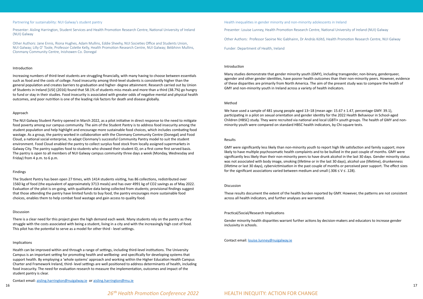#### <span id="page-8-0"></span>Partnering for sustainability: NUI Galway's student pantry

Presenter: Aisling Harrington, Student Services and Health Promotion Research Centre, National University of Ireland (NUI) Galway

Other Authors: Jane Ennis, Riona Hughes, Adam Mullins, Eddie Sheehy, NUI Societies Office and Students Union, NUI Galway; Lilly O' Toole, Professor Colette Kelly, Health Promotion Research Centre, NUI Galway; Béibhinn Mullins, Clonmany Community Centre, Inishowen Co. Donegal

#### Introduction

Increasing numbers of third-level students are struggling financially, with many having to choose between essentials such as food and the costs of college. Food insecurity among third-level students is consistently higher than the general population and creates barriers to graduation and higher- degree attainment. Research carried out by Union of Students in Ireland [USI] (2016) found that 58.1% of students miss meals and more than a third (38.7%) go hungry to fund or stay in their studies. Food insecurity is associated with greater odds of negative mental and physical health outcomes, and poor nutrition is one of the leading risk factors for death and disease globally.

#### Approach

The NUI Galway Student Pantry opened in March 2022, as a pilot initiative in direct response to the need to mitigate food poverty among our campus community. The aim of the Student Pantry is to address food insecurity among the student population and help highlight and encourage more sustainable food choices, which includes combating food wastage. As a group, the pantry worked in collaboration with the Clonmany Community Centre (Donegal) and Food Cloud, a national social enterprise, to adapt Clonmany's successful Community Pantry model to suit the student environment. Food Cloud enabled the pantry to collect surplus food stock from locally assigned supermarkets in Galway City. The pantry supplies food to students who showed their student ID, on a first come first served basis. The pantry is open to all members of NUI Galway campus community three days a week (Monday, Wednesday and Friday) from 4 p.m. to 6 p.m.

#### Findings

We have used a sample of 481 young people aged 13–18 (mean age: 15.67 ± 1.47, percentage GMY: 39.1), participating in a pilot on sexual orientation and gender identity for the 2022 Health Behaviour in School-aged Children (HBSC) study. They were recruited via national and local LGBTI+ youth groups. The health of GMY and nonminority youth were compared on standard HBSC health indicators, by Chi-square tests.

The Student Pantry has been open 27 times, with 1414 students visiting, has 86 collections, redistributed over 1560 kg of food (the equivalent of approximately 3713 meals) and has over 4991 kg of CO2 savings as of May 2022. Evaluation of the pilot is on-going, with qualitative data being collected from students; provisional findings suggest that those attending the pantry have limited funds to buy food, the pantry encourages more sustainable food choices, enables them to help combat food wastage and gain access to quality food.

GMY were significantly less likely than non-minority youth to report high life satisfaction and family support; more likely to have multiple psychosomatic health complaints and to be bullied in the past couple of months. GMY were significantly less likely than their non-minority peers to have drunk alcohol in the last 30 days. Gender minority status was not associated with body image, smoking (lifetime or in the last 30 days), alcohol use (lifetime), drunkenness (lifetime or last 30 days), cybervictimisation in the past couple of months or perceived peer support. The effect sizes for the significant associations varied between medium and small (.306  $\leq$  V  $\leq$  .128).

#### Discussion

There is a clear need for this project given the high demand each week. Many students rely on the pantry as they struggle with the costs associated with being a student, living in a city and with the increasingly high cost of food. This pilot has the potential to serve as a model for other third - level settings.

#### Implications

Health can be improved within and through a range of settings, including third-level institutions. The University Campus is an important setting for promoting health and wellbeing- and specifically for developing systems that support health. By employing a 'whole systems' approach and working within the Higher Education Health Campus Charter and Framework Ireland, third- level settings are well positioned to address determinants of health, including food insecurity. The need for evaluation research to measure the implementation, outcomes and impact of the student pantry is clear.

Contact email: [aisling.harrington@nuigalway.ie](mailto:aisling.harrington@nuigalway.ie) or [aisling.harrington@mu.ie](mailto:aisling.harrington@mu.ie)

Health inequalities in gender minority and non-minority adolescents in Ireland Presenter: Louise Lunney, Health Promotion Research Centre, National University of Ireland (NUI) Galway Other Authors: Professor Saoirse Nic Gabhainn, Dr András Költő, Health Promotion Research Centre, NUI Galway Funder: Department of Health, Ireland

#### Introduction

Many studies demonstrate that gender minority youth (GMY), including transgender, non-binary, genderqueer, agender and other gender identities, have poorer health outcomes than their non-minority peers. However, evidence of these disparities are primarily from North America. The aim of the present study was to compare the health of GMY and non-minority youth in Ireland across a variety of health indicators.

#### Method

#### Results

#### Discussion

These results document the extent of the health burden reported by GMY. However, the patterns are not consistent across all health indicators, and further analyses are warranted.

#### Practical/Social/Research Implications

Gender minority health disparities warrant further actions by decision-makers and educators to increase gender inclusivity in schools.

#### Contact email: [louise.lunney@nuigalway.ie](mailto:louise.lunney@nuigalway.ie)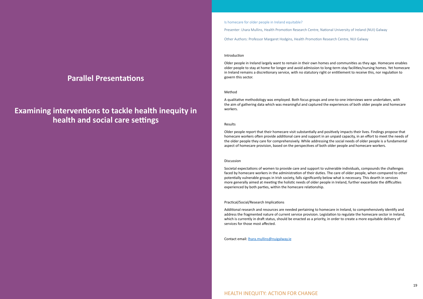### <span id="page-9-0"></span>**Parallel Presentations**

## **Examining interventions to tackle health inequity in health and social care settings**

Is homecare for older people in Ireland equitable?

Presenter: Lhara Mullins, Health Promotion Research Centre, National University of Ireland (NUI) Galway

Other Authors: Professor Margaret Hodgins, Health Promotion Research Centre, NUI Galway

#### Introduction

Older people in Ireland largely want to remain in their own homes and communities as they age. Homecare enables older people to stay at home for longer and avoid admission to long-term stay facilities/nursing homes. Yet homecare in Ireland remains a discretionary service, with no statutory right or entitlement to receive this, nor regulation to govern this sector.

#### Method

A qualitative methodology was employed. Both focus groups and one-to-one interviews were undertaken, with the aim of gathering data which was meaningful and captured the experiences of both older people and homecare workers.

#### Results

Older people report that their homecare visit substantially and positively impacts their lives. Findings propose that homecare workers often provide additional care and support in an unpaid capacity, in an effort to meet the needs of the older people they care for comprehensively. While addressing the social needs of older people is a fundamental aspect of homecare provision, based on the perspectives of both older people and homecare workers.

#### Discussion

Societal expectations of women to provide care and support to vulnerable individuals, compounds the challenges faced by homecare workers in the administration of their duties. The care of older people, when compared to other potentially vulnerable groups in Irish society, falls significantly below what is necessary. This dearth in services more generally aimed at meeting the holistic needs of older people in Ireland, further exacerbate the difficulties experienced by both parties, within the homecare relationship.

#### Practical/Social/Research Implications

Additional research and resources are needed pertaining to homecare in Ireland, to comprehensively identify and address the fragmented nature of current service provision. Legislation to regulate the homecare sector in Ireland, which is currently in draft status, should be enacted as a priority, in order to create a more equitable delivery of services for those most affected.

Contact email: [lhara.mullins@nuigalway.ie](mailto:lhara.mullins@nuigalway.ie)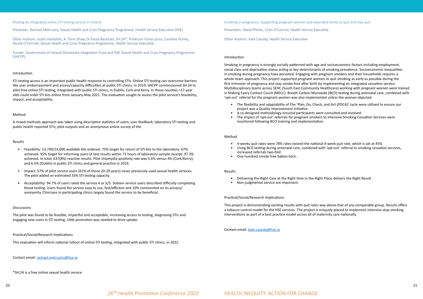26<sup>th</sup> Health Promotion Conference 2022 **HEALTH INEQUITY: ACTION FOR CHANGE** 

<span id="page-10-0"></span>Piloting an integrated online STI testing service in Ireland.

Presenter: Rachael Metrustry, Sexual Health and Crisis Pregnancy Programme, Health Service Executive (HSE)

Other Authors: Justin Harbottle, A. Torm Shaw, Dr Paula Baraitser, SH:24\*; Professor Fiona Lyons, Caroline Hurley, Nicola O'Connell, Sexual Health and Crisis Pregnancy Programme, Health Service Executive

Funder: Government of Ireland Sláintecare Integration Fund and HSE Sexual Health and Crisis Pregnancy Programme (SHCPP).

#### Introduction

STI testing access is an important public health response to controlling STIs. Online STI testing can overcome barriers like user embarrassment and access/capacity difficulties at public STI clinics. In 2019, SHCPP commissioned SH:24 to pilot free online STI testing, integrated with public STI clinics, in Dublin, Cork and Kerry. In these counties >17 year olds could order STI kits online from January-May 2021. The evaluation sought to assess the pilot service's feasibility, impact, and acceptability.

#### Method

A mixed-methods approach was taken using descriptive statistics of users; user feedback; laboratory STI testing and public health reported STIs; pilot outputs and an anonymous online survey of the

#### Results

- Feasibility: 13,749/14,000 available kits ordered. 75% target for return of STI kits to the laboratory: 67% achieved. 95% target for informing users of test results within 72 hours of laboratory sample receipt: 97.3% achieved. In total, 637(8%) reactive results. Pilot chlamydia positivity rate was 5.6% versus 4% (Cork/Kerry), and 6.5% (Dublin) in public STI clinics and general practice in 2019.
- Impact: 57% of pilot service users (61% of those 20-29 years) never previously used sexual health services. The pilot added an estimated 33% STI testing capacity.
- Acceptability: 94.7% of users rated the service 4 or 5/5. Sixteen service users described difficulty completing blood testing. Users found the service easy to use, fast/efficient and 10% commented on its privacy/ anonymity. Clinicians in participating clinics largely found the service to be beneficial.

#### Discussions

The pilot was found to be feasible, impactful and acceptable, increasing access to testing, diagnosing STIs and engaging new users in STI testing. Little promotion was needed to drive uptake.

#### Practical/Social/Research Implications

This evaluation will inform national rollout of online STI testing, integrated with public STI clinics, in 2022.

Contact email: [rachael.metrustry@hse.ie](mailto:rachael.metrustry@hse.ie)

\*SH:24 is a free online sexual health service

Smoking in pregnancy: Supporting pregnant women and extended family to quit and stay quit Presenters: David Phelan, Colm O'Connor, Health Service Executive

Other Authors: Kate Cassidy, Health Service Executive

#### Introduction

Smoking in pregnancy is strongly socially patterned with age and socioeconomic factors including employment, social class and deprivation status acting as key determinants of smoking prevalence. Socioeconomic inequalities in smoking during pregnancy have persisted. Engaging with pregnant smokers and their households requires a whole-team approach. This project supported pregnant women to quit smoking as early as possible during the first trimester of pregnancy and stay smoke-free after birth by implementing an integrated cessation service. Multidisciplinary teams across SEHC (South East Community Healthcare) working with pregnant women were trained in Making Every Contact Count (MECC). Breath Carbon Monoxide (BCO) testing during antenatal care, combined with 'opt-out' referral for the pregnant women was also implemented unless the woman objected.

- The flexibility and adaptability of The 'Plan, Do, Check, and Act (PDCA)' cycle were utilised to ensure our project was a Quality Improvement Initiative
- A co-designed methodology ensured participants were consulted and involved
- The impact of 'opt-out' referrals for pregnant smokers to Intensive Smoking Cessation Services were monitored following BCO training and implementation.

#### Method

- 4-weeks quit rates were 78% rates exceed the national 4-week quit rate, which is set at 45%
- increased referrals two-fold
- One hundred smoke free babies born.

• Using BCO testing during antenatal care, combined with 'opt-out' referral to smoking cessation services,

#### Results

- Delivering the Right Care at the Right time in the Right Place delivers the Right Result
- Non-judgmental service are important.

#### Practical/Social/Research Implications

This project is demonstrating exciting results with quit rates way above that of any comparable group. Results offers a tobacco control model for the HSE services. The project is uniquely placed to implement intensive stop smoking interventions as part of a best practice model across all of maternity care nationally.

#### Contact email: [kate.cassidy@hse.ie](mailto:kate.cassidy@hse.ie)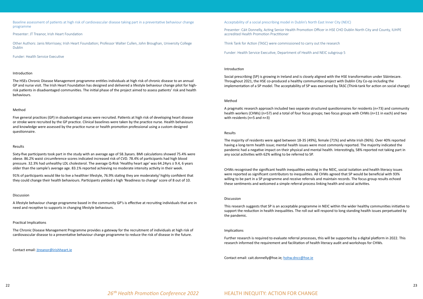<span id="page-11-0"></span>Baseline assessment of patients at high risk of cardiovascular disease taking part in a preventative behaviour change programme

Presenter: JT Treanor, Irish Heart Foundation

Other Authors: Janis Morrissey; Irish Heart Foundation; Professor Walter Cullen, John Broughan, University College Dublin

Funder: Health Service Executive

#### Introduction

The HSEs Chronic Disease Management programme entitles individuals at high risk of chronic disease to an annual GP and nurse visit. The Irish Heart Foundation has designed and delivered a lifestyle behaviour change pilot for highrisk patients in disadvantaged communities. The initial phase of the project aimed to assess patients' risk and health behaviours.

#### Method

Five general practices (GP) in disadvantaged areas were recruited. Patients at high risk of developing heart disease or stroke were recruited by the GP practice. Clinical baselines were taken by the practice nurse. Health behaviours and knowledge were assessed by the practice nurse or health promotion professional using a custom designed questionnaire.

#### Results

Sixty-five participants took part in the study with an average age of 58.3years. BMI calculations showed 75.4% were obese. 86.2% waist circumference scores indicated increased risk of CVD. 78.4% of participants had high blood pressure. 32.3% had unhealthy LDL cholesterol. The average Q-Risk 'Healthy heart age' was 64.24yrs ± 9.4, 6 years older than the sample's average age. 83.1% reported achieving no moderate intensity activity in their week.

91% of participants would like to live a healthier lifestyle, 76.9% stating they are moderately/ highly confident that they could change their health behaviours. Participants yielded a high 'Readiness to change' score of 8 out of 10.

#### Discussion

A lifestyle behaviour change programme based in the community GP's is effective at recruiting individuals that are in need and receptive to supports in changing lifestyle behaviours.

#### Practical Implications

The Chronic Disease Management Programme provides a gateway for the recruitment of individuals at high risk of cardiovascular disease to a preventative behaviour change programme to reduce the risk of disease in the future.

Contact email: [jtreanor@irishheart.ie](mailto:jtreanor@irishheart.ie)

Acceptability of a social prescribing model in Dublin's North East Inner City (NEIC)

Presenter: Cáit Donnelly, Acting Senior Health Promotion Officer in HSE CHO Dublin North City and County, IUHPE accredited Health Promotion Practitioner

Think Tank for Action (TASC) were commissioned to carry out the research

Funder: Health Service Executive, Department of Health and NEIC subgroup 5

#### Introduction

Social prescribing (SP) is growing in Ireland and is closely aligned with the HSE transformation under Sláintecare. Throughout 2021, the HSE co-produced a healthy communities project with Dublin City Co-op including the implementation of a SP model. The acceptability of SP was examined by TASC (Think-tank for action on social change)

#### Method

A pragmatic research approach included two separate structured questionnaires for residents (n=73) and community health workers (CHWs) (n=57) and a total of four focus groups; two focus groups with CHWs (n=11 in each) and two with residents (n=5 and n=3)

#### Results

The majority of residents were aged between 18-35 (49%), female (71%) and white Irish (96%). Over 40% reported having a long-term health issue; mental health issues were most commonly reported. The majority indicated the pandemic had a negative impact on their physical and mental health. Interestingly, 58% reported not taking part in any social activities with 62% willing to be referred to SP.

CHWs recognised the significant health inequalities existing in the NEIC, social isolation and health literacy issues were reported as significant contributors to inequalities. All CHWs agreed that SP would be beneficial with 93% willing to be part in a SP programme and receive referrals and maintain records. The focus group results echoed these sentiments and welcomed a simple referral process linking health and social activities.

#### Discussion

This research suggests that SP is an acceptable programme in NEIC within the wider healthy communities initiative to support the reduction in health inequalities. The roll out will respond to long standing health issues perpetuated by the pandemic.

#### Implications

Further research is required to evaluate referral processes, this will be supported by a digital platform in 2022. This research informed the requirement and facilitation of health literacy audit and workshops for CHWs.

Contact email: cait.donnelly@hse.ie; [hohw.dncc@hse.ie](mailto:hohw.dncc@hse.ie)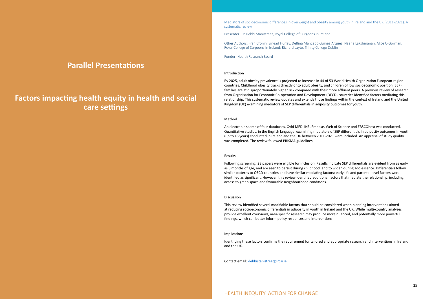## <span id="page-12-0"></span>**Parallel Presentations**

## **Factors impacting health equity in health and social care settings**

Mediators of socioeconomic differences in overweight and obesity among youth in Ireland and the UK (2011-2021): A systematic review

Presenter: Dr Debbi Stanistreet, Royal College of Surgeons in Ireland

Other Authors: Fran Cronin, Sinead Hurley, Delfina Mancebo Guinea Arquez, Naeha Lakshmanan, Alice O'Gorman, Royal College of Surgeons in Ireland; Richard Layte, Trinity College Dublin

Funder: Health Research Board

#### Introduction

By 2025, adult obesity prevalence is projected to increase in 44 of 53 World Health Organization European-region countries. Childhood obesity tracks directly onto adult obesity, and children of low socioeconomic position (SEP) families are at disproportionately higher risk compared with their more affluent peers. A previous review of research from Organisation for Economic Co-operation and Development (OECD) countries identified factors mediating this relationship. This systematic review updates and extends those findings within the context of Ireland and the United Kingdom (UK) examining mediators of SEP differentials in adiposity outcomes for youth.

#### Method

An electronic search of four databases, Ovid MEDLINE, Embase, Web of Science and EBSCOhost was conducted. Quantitative studies, in the English language, examining mediators of SEP differentials in adiposity outcomes in youth (up to 18 years) conducted in Ireland and the UK between 2011-2021 were included. An appraisal of study quality was completed. The review followed PRISMA guidelines.

#### Results

Following screening, 23 papers were eligible for inclusion. Results indicate SEP differentials are evident from as early as 3 months of age, and are seen to persist during childhood, and to widen during adolescence. Differentials follow similar patterns to OECD countries and have similar mediating factors: early life and parental-level factors were identified as significant. However, this review identified additional factors that mediate the relationship, including access to green space and favourable neighbourhood conditions.

#### Discussion

This review identified several modifiable factors that should be considered when planning interventions aimed at reducing socioeconomic differentials in adiposity in youth in Ireland and the UK. While multi-country analyses provide excellent overviews, area-specific research may produce more nuanced, and potentially more powerful findings, which can better inform policy responses and interventions.

#### Implications

Identifying these factors confirms the requirement for tailored and appropriate research and interventions in Ireland and the UK.

Contact email: [debbistanistreet@rcsi.ie](mailto:debbistanistreet@rcsi.ie)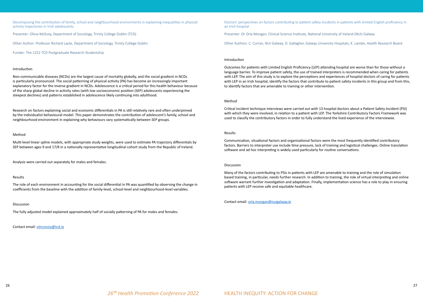<span id="page-13-0"></span>Decomposing the contribution of family, school and neighbourhood environments in explaining inequalities in physical activity trajectories in Irish adolescents.

Presenter: Olivia McEvoy, Department of Sociology, Trinity College Dublin (TCD)

Other Author: Professor Richard Layte, Department of Sociology, Trinity College Dublin

Funder: The 1252 TCD Postgraduate Research Studentship

#### Introduction

Non-communicable diseases (NCDs) are the largest cause of mortality globally, and the social gradient in NCDs is particularly pronounced. The social patterning of physical activity (PA) has become an increasingly important explanatory factor for the inverse gradient in NCDs. Adolescence is a critical period for this health behaviour because of the sharp global decline in activity rates (with low socioeconomic position (SEP) adolescents experiencing the steepest declines) and patterns established in adolescence likely continuing into adulthood.

Research on factors explaining social and economic differentials in PA is still relatively rare and often underpinned by the individualist behavioural model. This paper demonstrates the contribution of adolescent's family, school and neighbourhood environment in explaining why behaviours vary systematically between SEP groups.

#### Method

Multi-level linear spline models, with appropriate study weights, were used to estimate PA trajectory differentials by SEP between ages 9 and 17/8 in a nationally representative longitudinal cohort study from the Republic of Ireland.

Analysis were carried out separately for males and females.

#### Results

The role of each environment in accounting for the social differential in PA was quantified by observing the change in coefficients from the baseline with the addition of family-level, school-level and neighbourhood-level variables.

#### Discussion

The fully adjusted model explained approximately half of socially patterning of PA for males and females.

Contact email: [olmcevoy@tcd.ie](mailto:olmcevoy@tcd.ie)

Doctors' perspectives on factors contributing to patient safety incidents in patients with limited English proficiency in an Irish hospital

Presenter: Dr Orla Mongan, Clinical Science Institute, National University of Ireland (NUI) Galway

Other Authors: C. Curran, NUI Galway; D. Gallagher, Galway University Hospitals; K. Lambe, Health Research Board

#### Introduction

Outcomes for patients with Limited English Proficiency (LEP) attending hospital are worse than for those without a language barrier. To improve patient safety, the use of trained interpreters is recommended when caring for patients with LEP. The aim of this study is to explore the perceptions and experiences of hospital doctors of caring for patients with LEP in an Irish hospital, identify the factors that contribute to patient safety incidents in this group and from this, to identify factors that are amenable to training or other intervention.

#### Method

Critical incident technique interviews were carried out with 13 hospital doctors about a Patient Safety Incident (PSI) with which they were involved, in relation to a patient with LEP. The Yorkshire Contributory Factors Framework was used to classify the contributory factors in order to fully understand the lived experience of the interviewee.

#### Results

Communication, situational factors and organisational factors were the most frequently identified contributory factors. Barriers to interpreter use include time pressure, lack of training and logistical challenges. Online translation software and ad hoc interpreting is widely used particularly for routine conversations.

#### Discussion

Many of the factors contributing to PSIs in patients with LEP are amenable to training and the role of simulation based training, in particular, needs further research. In addition to training, the role of virtual interpreting and online software warrant further investigation and adaptation. Finally, implementation science has a role to play in ensuring patients with LEP receive safe and equitable healthcare.

Contact email: [orla.mongan@nuigalway.ie](mailto:orla.mongan@nuigalway.ie)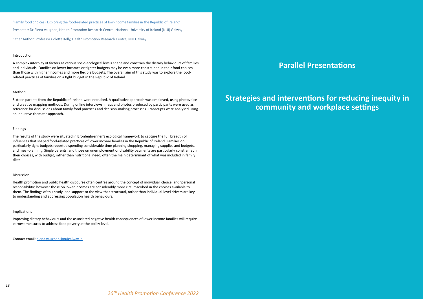<span id="page-14-0"></span>'Family food choices? Exploring the food-related practices of low-income families in the Republic of Ireland' Presenter: Dr Elena Vaughan, Health Promotion Research Centre, National University of Ireland (NUI) Galway

Other Author: Professor Colette Kelly, Health Promotion Research Centre, NUI Galway

#### Introduction

A complex interplay of factors at various socio-ecological levels shape and constrain the dietary behaviours of families and individuals. Families on lower incomes or tighter budgets may be even more constrained in their food choices than those with higher incomes and more flexible budgets. The overall aim of this study was to explore the foodrelated practices of families on a tight budget in the Republic of Ireland.

#### Method

Sixteen parents from the Republic of Ireland were recruited. A qualitative approach was employed, using photovoice and creative mapping methods. During online interviews, maps and photos produced by participants were used as reference for discussions about family food practices and decision-making processes. Transcripts were analysed using an inductive thematic approach.

#### Findings

The results of the study were situated in Bronfenbrenner's ecological framework to capture the full breadth of influences that shaped food-related practices of lower income families in the Republic of Ireland. Families on particularly tight budgets reported spending considerable time planning shopping, managing supplies and budgets, and meal-planning. Single parents, and those on unemployment or disability payments are particularly constrained in their choices, with budget, rather than nutritional need, often the main determinant of what was included in family diets.

#### Discussion

Health promotion and public health discourse often centres around the concept of individual 'choice' and 'personal responsibility,' however those on lower incomes are considerably more circumscribed in the choices available to them. The findings of this study lend support to the view that structural, rather than individual-level drivers are key to understanding and addressing population health behaviours.

#### Implications

Improving dietary behaviours and the associated negative health consequences of lower income families will require earnest measures to address food poverty at the policy level.

Contact email: [elena.vaughan@nuigalway.ie](mailto:elena.vaughan@nuigalway.ie)

## **Parallel Presentations**

## **Strategies and interventions for reducing inequity in community and workplace settings**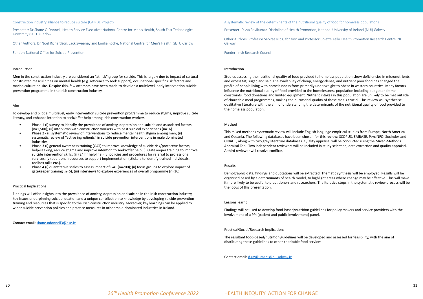#### <span id="page-15-0"></span>Construction industry alliance to reduce suicide (CAIRDE Project)

Presenter: Dr Shane O'Donnell, Health Service Executive; National Centre for Men's Health, South East Technological University (SETU) Carlow

Other Authors: Dr Noel Richardson, Jack Sweeney and Emilie Roche, National Centre for Men's Health, SETU Carlow

Funder: National Office for Suicide Prevention

#### Introduction

Men in the construction industry are considered an "at risk" group for suicide. This is largely due to impact of cultural constructed masculinities on mental health (e.g. reticence to seek support), occupational specific risk factors and macho culture on site. Despite this, few attempts have been made to develop a multilevel, early intervention suicide prevention programme in the Irish construction industry.

#### Aim

To develop and pilot a multilevel, early intervention suicide prevention programme to reduce stigma, improve suicide literacy, and enhance intention to seek/offer help among Irish construction workers.

- Phase 1 (i) survey to identify the prevalence of anxiety, depression and suicide and associated factors (n=1,500); (ii) interviews with construction workers with past suicidal experiences (n=16)
- Phase 2 (i) systematic review of interventions to reduce mental health stigma among men; (ii) systematic review of "active ingredients" in suicide prevention interventions in male dominated industries
- Phase 3 (i) general awareness training (GAT) to improve knowledge of suicide risk/protective factors, help-seeking, reduce stigma and improve intention to seek/offer help; (ii) gatekeeper training to improve suicide intervention skills; (iii) 24 hr helpline; (iv) policies and procedures for referral to professional services; (v) additional resources to support implementation (stickers to identify trained individuals, toolbox talks etc.).
- Phase 4 (i) quantitative scales to assess impact of GAT (n=200); (ii) focus groups to explore impact of gatekeeper training (n=6); (iii) interviews to explore experiences of overall programme (n=16).

#### Practical Implications

Findings will offer insights into the prevalence of anxiety, depression and suicide in the Irish construction industry, key issues underpinning suicide ideation and a unique contribution to knowledge by developing suicide prevention training and resources that is specific to the Irish construction industry. Moreover, key learnings can be applied to wider suicide prevention policies and practice measures in other male-dominated industries in Ireland.

Contact email: [shane.odonnell3@hse.ie](mailto:shane.odonnell3@hse.ie)

A systematic review of the determinants of the nutritional quality of food for homeless populations

Presenter: Divya Ravikumar, Discipline of Health Promotion, National University of Ireland (NUI) Galway

Other Authors: Professor Saoirse Nic Gabhainn and Professor Colette Kelly, Health Promotion Research Centre, NUI Galway

Funder: Irish Research Council

#### Introduction

Studies assessing the nutritional quality of food provided to homeless population show deficiencies in micronutrients and excess fat, sugar, and salt. The availability of cheap, energy-dense, and nutrient poor food has changed the profile of people living with homelessness from primarily underweight to obese in western countries. Many factors influence the nutritional quality of food provided to the homelessness population including budget and time constraints, food donations and limited equipment. Nutrient intakes in this population are unlikely to be met outside of charitable meal programmes, making the nutritional quality of these meals crucial. This review will synthesise qualitative literature with the aim of understanding the determinants of the nutritional quality of food provided to the homeless population.

#### Method

This mixed methods systematic review will include English language empirical studies from Europe, North America and Oceania. The following databases have been chosen for this review: SCOPUS, EMBASE, PsycINFO, SocIndex and CINAHL, along with two grey literature databases. Quality appraisal will be conducted using the Mixed-Methods Appraisal Tool. Two independent reviewers will be included in study selection, data extraction and quality appraisal. A third reviewer will resolve conflicts.

#### Results

Demographic data, findings and quotations will be extracted. Thematic synthesis will be employed. Results will be organised based by a determinants of health model, to highlight areas where change may be effective. This will make it more likely to be useful to practitioners and researchers. The iterative steps in the systematic review process will be the focus of this presentation.

#### Lessons learnt

Findings will be used to develop food-based/nutrition guidelines for policy makers and service providers with the involvement of a PPI (patient and public involvement) panel.

#### Practical/Social/Research Implications

The resultant food-based/nutrition guidelines will be developed and assessed for feasibility, with the aim of distributing these guidelines to other charitable food services.

Contact email: [d.ravikumar1@nuigalway.ie](mailto:d.ravikumar1@nuigalway.ie)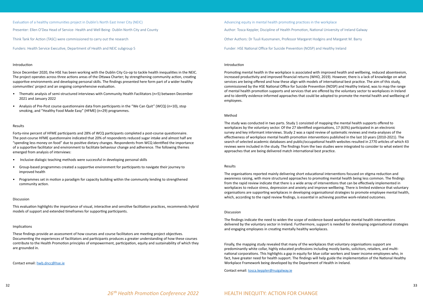<span id="page-16-0"></span>Evaluation of a healthy communities project in Dublin's North East Inner City (NEIC)

Presenter: Ellen O'Dea Head of Service- Health and Well Being - Dublin North City and County

Think Tank for Action (TASC) were commissioned to carry out the research

Funders: Health Service Executive, Department of Health and NEIC subgroup 5

#### Introduction

Since December 2020, the HSE has been working with the Dublin City Co-op to tackle health inequalities in the NEIC. The project operates across three actions areas of the Ottawa Charter; by strengthening community action, creating supportive environments and developing personal skills. The findings presented here form part of a wider healthy communities' project and an ongoing comprehensive evaluation.

- Thematic analysis of semi-structured interviews with Community Health Facilitators (n=5) between December 2021 and January 2022
- Analysis of Pre-Post course questionnaire data from participants in the "We Can Quit" (WCQ) (n=10), stop smoking, and "Healthy Food Made Easy" (HFME) (n=29) programmes.

#### Results

Forty-nine percent of HFME participants and 28% of WCQ participants completed a post-course questionnaire. The post-course HFME questionnaire indicated that 20% of respondents reduced sugar intake and almost half are "spending less money on food" due to positive dietary changes. Respondents from WCQ identified the importance of a supportive facilitator and environment to facilitate behaviour change and adherence. The following themes emerged from analysis of interviews:

- Inclusive dialogic teaching methods were successful in developing personal skills
- Group-based programmes created a supportive environment for participants to navigate their journey to improved health
- Programmes set in motion a paradigm for capacity building within the community lending to strengthened community action.

#### Discussion

This evaluation highlights the importance of visual, interactive and sensitive facilitation practices, recommends hybrid models of support and extended timeframes for supporting participants.

#### Implications

These findings provide an assessment of how courses and course facilitators are meeting project objectives. Documenting the experiences of facilitators and participants produces a greater understanding of how these courses contribute to the Health Promotion principles of empowerment, participation, equity and sustainability of which they are grounded in.

Contact email: [hwb.dncc@hse.ie](mailto:hwb.dncc@hse.ie)

Advancing equity in mental health promoting practices in the workplace Author: Tosca Keppler, Discipline of Health Promotion, National University of Ireland Galway Other Authors: Dr Tuuli Kuosmanen, Professor Margaret Hodgins and Margaret M. Barry Funder: HSE National Office for Suicide Prevention (NOSP) and Healthy Ireland

#### Introduction

Promoting mental health in the workplace is associated with improved health and wellbeing, reduced absenteeism, increased productivity and improved financial returns (WHO, 2019). However, there is a lack of knowledge on what services are being offered and how these align with models of international best practice. The aim of this study, commissioned by the HSE National Office for Suicide Prevention (NOSP) and Healthy Ireland, was to map the range of mental health promotion supports and services that are offered by the voluntary sector to workplaces in Ireland and to identify evidence-informed approaches that could be adopted to promote the mental health and wellbeing of employees.

#### Method

The study was conducted in two parts. Study 1 consisted of mapping the mental health supports offered to workplaces by the voluntary sector. Of the 27 identified organisations, 17 (63%) participated in an electronic survey and key informant interviews. Study 2 was a rapid review of systematic reviews and meta-analyses of the effectiveness of workplace mental health promotion interventions published in the last 10 years (2010-2021). The search of selected academic databases and public/occupational health websites resulted in 2770 articles of which 43 reviews were included in the study. The findings from the two studies were integrated to consider to what extent the approaches that are being delivered match international best practice.

#### Results

The organisations reported mainly delivering short educational interventions focused on stigma reduction and awareness raising, with more structured approaches to promoting mental health being less common. The findings from the rapid review indicate that there is a wide array of interventions that can be effectively implemented in workplaces to reduce stress, depression and anxiety and improve wellbeing. There is limited evidence that voluntary organisations are supporting workplaces in developing organisational strategies to promote employee mental health, which, according to the rapid review findings, is essential in achieving positive work-related outcomes.

#### Discussion

The findings indicate the need to widen the scope of evidence-based workplace mental health interventions delivered by the voluntary sector in Ireland. Furthermore, support is needed for developing organisational strategies and engaging employees in creating mentally healthy workplaces.

Finally, the mapping study revealed that many of the workplaces that voluntary organisations support are predominantly white collar, highly educated professions including mostly banks, solicitors, retailers, and multinational corporations. This highlights a gap in equity for blue collar workers and lower income employees who, in fact, have greater need for health support. The findings will help guide the implementation of the National Healthy Workplace Framework being developed by the Department of Health in Ireland.

Contact email: [tosca.keppler@nuigalway.ie](mailto:tosca.keppler@nuigalway.ie)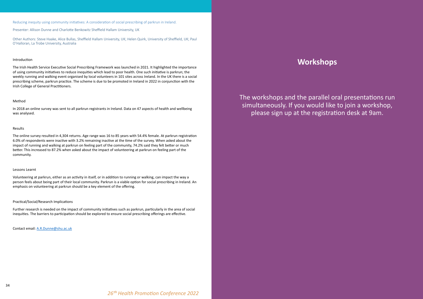<span id="page-17-0"></span>Reducing inequity using community initiatives: A consideration of social prescribing of parkrun in Ireland.

Presenter: Allison Dunne and Charlotte Benkowitz Sheffield Hallam University, UK

Other Authors: Steve Haake, Alice Bullas, Sheffield Hallam University, UK; Helen Quirk, University of Sheffield, UK; Paul O'Halloran, La Trobe University, Australia

#### Introduction

The Irish Health Service Executive Social Prescribing Framework was launched in 2021. It highlighted the importance of using community initiatives to reduce inequities which lead to poor health. One such initiative is parkrun; the weekly running and walking event organised by local volunteers in 101 sites across Ireland. In the UK there is a social prescribing scheme, parkrun practice. The scheme is due to be promoted in Ireland in 2022 in conjunction with the Irish College of General Practitioners.

#### Method

In 2018 an online survey was sent to all parkrun registrants in Ireland. Data on 47 aspects of health and wellbeing was analysed.

#### Results

The online survey resulted in 4,304 returns. Age range was 16 to 85 years with 54.4% female. At parkrun registration 6.0% of respondents were inactive with 3.2% remaining inactive at the time of the survey. When asked about the impact of running and walking at parkrun on feeling part of the community, 74.2% said they felt better or much better. This increased to 87.2% when asked about the impact of volunteering at parkrun on feeling part of the community.

#### Lessons Learnt

Volunteering at parkrun, either as an activity in itself, or in addition to running or walking, can impact the way a person feels about being part of their local community. Parkrun is a viable option for social prescribing in Ireland. An emphasis on volunteering at parkrun should be a key element of the offering.

#### Practical/Social/Research Implications

Further research is needed on the impact of community initiatives such as parkrun, particularly in the area of social inequities. The barriers to participation should be explored to ensure social prescribing offerings are effective.

Contact email: [A.R.Dunne@shu.ac.uk](mailto:A.R.Dunne@shu.ac.uk)

### **Workshops**

The workshops and the parallel oral presentations run simultaneously. If you would like to join a workshop, please sign up at the registration desk at 9am.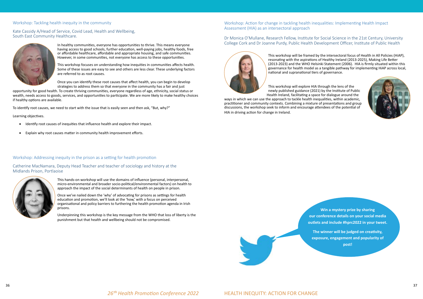

#### <span id="page-18-0"></span>Workshop: Tackling health inequity in the community

#### Kate Cassidy A/Head of Service, Covid Lead, Health and Wellbeing, South East Community Healthcare.



In healthy communities, everyone has opportunities to thrive. This means everyone having access to good schools, further education, well-paying jobs, healthy foods, free or affordable healthcare, affordable and appropriate housing, and safe communities. However, in some communities, not everyone has access to these opportunities.

- • Identify root causes of inequities that influence health and explore their impact.
- Explain why root causes matter in community health improvement efforts.

This workshop focuses on understanding how inequities in communities affects health. Some of these issues are easy to see and others are less clear. These underlying factors are referred to as root causes.

Once you can identify these root causes that affect health, you can begin to develop strategies to address them so that everyone in the community has a fair and just

opportunity for good health. To create thriving communities, everyone regardless of age, ethnicity, social status or wealth, needs access to goods, services, and opportunities to participate. We are more likely to make healthy choices if healthy options are available.

To identify root causes, we need to start with the issue that is easily seen and then ask, "But, why?"

Learning objectives.

#### Workshop: Addressing inequity in the prison as a setting for health promotion

#### Catherine MacNamara, Deputy Head Teacher and teacher of sociology and history at the Midlands Prison, Portlaoise



This hands-on workshop will use the domains of influence (personal, interpersonal, micro-environmental and broader socio-political/environmental factors) on health to approach the impact of the social determinants of health on people in prison.

> **Presentations include #hprc2022 in your tweet. Win a mystery prize by sharing our conference details on your social media**

Once we've nailed down the 'why' of advocating for prisons as settings for health education and promotion, we'll look at the 'how,' with a focus on perceived organisational and policy barriers to furthering the health promotion agenda in Irish prisons.

Underpinning this workshop is the key message from the WHO that loss of liberty is the punishment but that health and wellbeing should not be compromised.

#### Workshop: Action for change in tackling health inequalities: Implementing Health Impact Assessment (HIA) as an intersectoral approach

Dr Monica O'Mullane, Research Fellow, Institute for Social Science in the 21st Century, University College Cork and Dr Joanne Purdy, Public Health Development Officer, Institute of Public Health



This workshop will be framed by the intersectoral focus of Health in All Policies (HiAP), resonating with the aspirations of Healthy Ireland (2013-2025), Making Life Better (2013-2023) and the WHO Helsinki Statement (2006). HIA is firmly situated within this governance for health model as a tangible pathway for implementing HiAP across local, national and supranational tiers of governance.

This workshop will explore HIA through the lens of the newly published guidance (2021) by the Institute of Public Health Ireland, facilitating a space for dialogue around the ways in which we can use the approach to tackle health inequalities, within academic, practitioner and community contexts. Combining a mixture of presentations and group

discussions, the workshop seek to inform and encourage attendees of the potential of HIA in driving action for change in Ireland.



26<sup>th</sup> Health Promotion Conference 2022 **HEALTH INEQUITY: ACTION FOR CHANGE** 

**The winner will be judged on creativity, exposure, engagement and popularity of post!**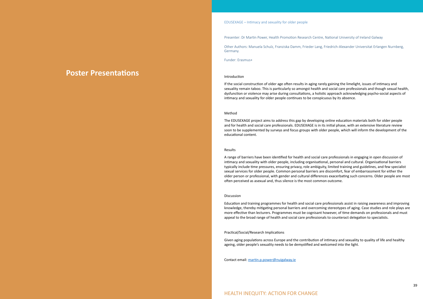### <span id="page-19-0"></span>**Poster Presentations**

EDUSEXAGE – Intimacy and sexuality for older people

Presenter: Dr Martin Power, Health Promotion Research Centre, National University of Ireland Galway

Other Authors: Manuela Schulz, Franziska Damm, Frieder Lang, Friedrich-Alexander Universitat Erlangen Nurnberg, Germany.

Funder: Erasmus+

#### Introduction

If the social construction of older age often results in aging rarely gaining the limelight, issues of intimacy and sexuality remain taboo. This is particularly so amongst health and social care professionals and though sexual health, dysfunction or violence may arise during consultations, a holistic approach acknowledging psycho-social aspects of intimacy and sexuality for older people continues to be conspicuous by its absence.

#### Method

The EDUSEXAGE project aims to address this gap by developing online education materials both for older people and for health and social care professionals. EDUSEXAGE is in its initial phase, with an extensive literature review soon to be supplemented by surveys and focus groups with older people, which will inform the development of the educational content.

#### Results

A range of barriers have been identified for health and social care professionals in engaging in open discussion of intimacy and sexuality with older people, including organisational, personal and cultural. Organisational barriers typically include time pressures, ensuring privacy, role ambiguity, limited training and guidelines, and few specialist sexual services for older people. Common personal barriers are discomfort, fear of embarrassment for either the older person or professional, with gender and cultural differences exacerbating such concerns. Older people are most often perceived as asexual and, thus silence is the most common outcome.

#### Discussion

Education and training programmes for health and social care professionals assist in raising awareness and improving knowledge, thereby mitigating personal barriers and overcoming stereotypes of aging. Case studies and role plays are more effective than lecturers. Programmes must be cognisant however, of time demands on professionals and must appeal to the broad range of health and social care professionals to counteract delegation to specialists.

#### Practical/Social/Research Implications

Given aging populations across Europe and the contribution of intimacy and sexuality to quality of life and healthy ageing, older people's sexuality needs to be demystified and welcomed into the light.

Contact email: [martin.p.power@nuigalway.ie](mailto:martin.p.power@nuigalway.ie)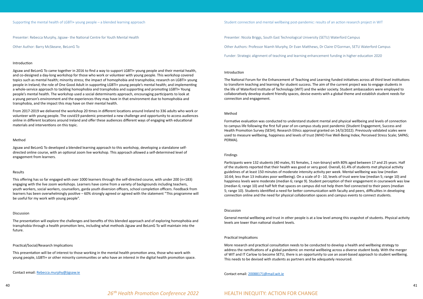<span id="page-20-0"></span>Presenter: Rebecca Murphy, Jigsaw - the National Centre for Youth Mental Health

Other Author: Barry McSkeane, BeLonG To

#### Introduction

Jigsaw and BeLonG To came together in 2016 to find a way to support LGBTI+ young people and their mental health, and co-designed a day-long workshop for those who work or volunteer with young people. This workshop covered topics such as mental health; minority stress; the impact of homophobia and transphobia; research on LGBTI+ young people in Ireland; the role of One Good Adult in supporting LGBTI+ young people's mental health; and implementing a whole-service approach to tackling homophobia and transphobia and supporting and promoting LGBTI+ Young people's mental health. The workshop used a social determinants approach, encouraging participants to look at a young person's environment and the experiences they may have in that environment due to homophobia and transphobia, and the impact this may have on their mental health.

From 2017-2019 we delivered the workshop 20 times in different locations around Ireland to 336 adults who work or volunteer with young people. The covid19 pandemic presented a new challenge and opportunity to access audiences online in different locations around Ireland and offer these audiences different ways of engaging with educational materials and interventions on this topic.

#### Method

Jigsaw and BeLonG To developed a blended learning approach to this workshop, developing a standalone selfdirected online course, with an optional zoom live workshop. This approach allowed a self-determined level of engagement from learners.

#### Results

This offering has so far engaged with over 1000 learners through the self-directed course, with under 200 (n=183) engaging with the live zoom workshops. Learners have come from a variety of backgrounds including teachers, youth workers, social workers, counsellors, garda youth diversion officers, school completion officers. Feedback from learners has been overwhelmingly positive – 60% strongly agreed or agreed with the statement "This programme will be useful for my work with young people".

#### Discussion

The presentation will explore the challenges and benefits of this blended approach and of exploring homophobia and transphobia through a health promotion lens, including what methods Jigsaw and BeLonG To will maintain into the future.

#### Practical/Social/Research Implications

This presentation will be of interest to those working in the mental health promotion area, those who work with young people, LGBTI+ or other minority communities or who have an interest in the digital health promotion space.

Contact email: [Rebecca.murphy@jigsaw.ie](mailto:Rebecca.murphy@jigsaw.ie)

Presenter: Nicola Briggs, South East Technological University (SETU) Waterford Campus

Other Authors: Professor Niamh Murphy, Dr Evan Matthews, Dr Claire O'Gorman, SETU Waterford Campus

Funder: Strategic alignment of teaching and learning enhancement funding in higher education 2020

#### Introduction

The National Forum for the Enhancement of Teaching and Learning funded initiatives across all third level institutions to transform teaching and learning for student success. The aim of the current project was to engage students in the life of Waterford Institute of Technology (WIT) and the wider society. Student ambassadors were employed to collaboratively develop student friendly spaces, devise events with a global theme and establish student needs for connection and engagement.

#### Method

Formative evaluation was conducted to understand student mental and physical wellbeing and levels of connection to campus life following the first full year of on-campus study post pandemic (Student Engagement, Success and Health Promotion Survey (SESH); Research Ethics approval granted on 14/3/2022). Previously validated scales were used to measure wellbeing, happiness and levels of trust (WHO Five Well-Being Index; Perceived Stress Scale; SAPAS; PERMA).

#### Findings

Participants were 132 students (40 males, 91 females, 1 non-binary) with 80% aged between 17 and 25 years. Half of the students reported that their health was good or very good. Overall, 61.4% of students met physical activity guidelines of at least 150 minutes of moderate intensity activity per week. Mental wellbeing was low (median 10.64; less than 13 indicates poor wellbeing). On a scale of 0 - 10, levels of trust were low (median 5; range 10) and happiness levels were moderate (median 6; range 9). Student perception of their engagement in coursework was low (median 6; range 10) and half felt that spaces on campus did not help them feel connected to their peers (median 5; range 10). Students identified a need for better communication with faculty and peers, difficulties in developing connection online and the need for physical collaboration spaces and campus events to connect students.

#### Discussion

General mental wellbeing and trust in other people is at a low level among this snapshot of students. Physical activity levels are lower than national student levels.

#### Practical Implications

More research and practical consultation needs to be conducted to develop a health and wellbeing strategy to address the ramifications of a global pandemic on mental wellbeing across a diverse student body. With the merger of WIT and IT Carlow to become SETU, there is an opportunity to use an asset-based approach to student wellbeing. This needs to be devised with students as partners and be adequately resourced.

Contact email: [20088171@mail.wit.ie](mailto:20088171@mail.wit.ie)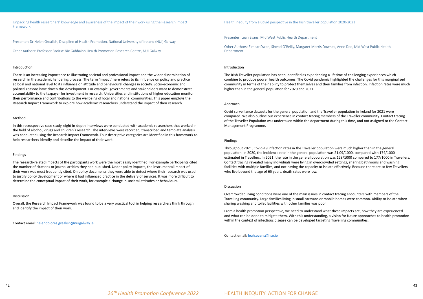<span id="page-21-0"></span>Unpacking health researchers' knowledge and awareness of the impact of their work using the Research Impact Framework

Presenter: Dr Helen Grealish, Discipline of Health Promotion, National University of Ireland (NUI) Galway

Other Authors: Professor Saoirse Nic Gabhainn Health Promotion Research Centre, NUI Galway

#### Introduction

There is an increasing importance to illustrating societal and professional impact and the wider dissemination of research in the academic tendering process. The term 'impact' here refers to its influence on policy and practice at local and national level to its influence on attitude and behavioural changes in society. Socio-economic and political reasons have driven this development. For example, governments and stakeholders want to demonstrate accountability to the taxpayer for investment in research. Universities and institutions of higher education monitor their performance and contributions to the wellbeing of local and national communities. This paper employs the Research Impact Framework to explore how academic researchers understand the impact of their research.

#### Method

In this retrospective case study, eight in-depth interviews were conducted with academic researchers that worked in the field of alcohol, drugs and children's research. The interviews were recorded, transcribed and template analysis was conducted using the Research Impact Framework. Four descriptive categories are identified in this framework to help researchers identify and describe the impact of their work.

#### Findings

The research-related impacts of the participants work were the most easily identified. For example participants cited the number of citations or journal articles they had published. Under policy impacts, the instrumental impact of their work was most frequently cited. On policy documents they were able to detect where their research was used to justify policy development or where it had influenced practice in the delivery of services. It was more difficult to determine the conceptual impact of their work, for example a change in societal attitudes or behaviours.

#### Discussion

Overall, the Research Impact Framework was found to be a very practical tool in helping researchers think through and identify the impact of their work.

Contact email: [helendolores.grealish@nuigalway.ie](mailto:helendolores.grealish@nuigalway.ie)

Health Inequity from a Covid perspective in the Irish traveller population 2020-2021

Presenter: Leah Evans, Mid West Public Health Department

Other Authors: Eimear Dwan, Sinead O'Reilly, Margaret Morris Downes, Anne Dee, Mid West Public Health Department

#### Introduction

The Irish Traveller population has been identified as experiencing a lifetime of challenging experiences which combine to produce poorer health outcomes. The Covid pandemic highlighted the challenges for this marginalised community in terms of their ability to protect themselves and their families from infection. Infection rates were much higher than in the general population for 2020 and 2021.

#### Approach

Covid surveillance datasets for the general population and the Traveller population in Ireland for 2021 were compared. We also outline our experience in contact tracing members of the Traveller community. Contact tracing of the Traveller Population was undertaken within the department during this time, and not assigned to the Contact Management Programme.

#### Findings

Throughout 2021, Covid-19 infection rates in the Traveller population were much higher than in the general population. In 2020, the incidence rate in the general population was 21.09/1000, compared with 174/1000 estimated in Travellers. In 2021, the rate in the general population was 128/1000 compared to 177/1000 in Travellers. Contact tracing revealed many individuals were living in overcrowded settings, sharing bathrooms and washing facilities with multiple families, and not having the capacity to isolate effectively. Because there are so few Travellers who live beyond the age of 65 years, death rates were low.

#### Discussion

Overcrowded living conditions were one of the main issues in contact tracing encounters with members of the Travelling community. Large families living in small caravans or mobile homes were common. Ability to isolate when sharing washing and toilet facilities with other families was poor.

From a health promotion perspective, we need to understand what these impacts are, how they are experienced and what can be done to mitigate them. With this understanding, a vision for future approaches to health promotion within the context of infectious disease can be developed targeting Travelling communities.

Contact email: [leah.evans@hse.ie](mailto:leah.evans@hse.ie)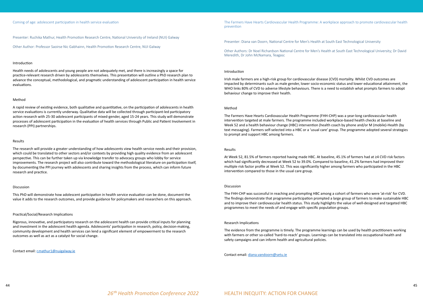#### <span id="page-22-0"></span>Coming of age: adolescent participation in health service evaluation

Presenter: Ruchika Mathur, Health Promotion Research Centre, National University of Ireland (NUI) Galway

Other Author: Professor Saoirse Nic Gabhainn, Health Promotion Research Centre, NUI Galway

#### Introduction

Health needs of adolescents and young people are not adequately met, and there is increasingly a space for practice-relevant research driven by adolescents themselves. This presentation will outline a PhD research plan to advance the conceptual, methodological, and pragmatic understanding of adolescent participation in health service evaluations.

#### Method

A rapid review of existing evidence, both qualitative and quantitative, on the participation of adolescents in health service evaluations is currently underway. Qualitative data will be collected through participant-led participatory action research with 25-30 adolescent participants of mixed-gender, aged 15-24 years. This study will demonstrate processes of adolescent participation in the evaluation of health services through Public and Patient Involvement in research (PPI) partnerships.

#### Results

The research will provide a greater understanding of how adolescents view health service needs and their provision, which could be translated to other sectors and/or contexts by providing high quality evidence from an adolescent perspective. This can be further taken up via knowledge transfer to advocacy groups who lobby for service improvements. The research project will also contribute toward the methodological literature on participation itself, by documenting the PPI journey with adolescents and sharing insights from the process, which can inform future research and practice.

#### Discussion

This PhD will demonstrate how adolescent participation in health service evaluation can be done, document the value it adds to the research outcomes, and provide guidance for policymakers and researchers on this approach.

#### Practical/Social/Research Implications

Rigorous, innovative, and participatory research on the adolescent health can provide critical inputs for planning and investment in the adolescent health agenda. Adolescents' participation in research, policy, decision-making, community development and health services can lend a significant element of empowerment to the research outcomes as well as act as a catalyst for social change.

Contact email: [r.mathur1@nuigalway.ie](mailto:r.mathur1@nuigalway.ie)

The Farmers Have Hearts Cardiovascular Health Programme: A workplace approach to promote cardiovascular health prevention

Presenter: Diana van Doorn, National Centre for Men's Health at South East Technological University

Other Authors: Dr Noel Richardson National Centre for Men's Health at South East Technological University; Dr David Meredith, Dr John McNamara, Teagasc

#### Introduction

Irish male farmers are a high-risk group for cardiovascular disease (CVD) mortality. Whilst CVD outcomes are impacted by determinants such as male gender, lower socio-economic status and lower educational attainment, the WHO links 80% of CVD to adverse lifestyle behaviours. There is a need to establish what prompts farmers to adopt behaviour change to improve their health.

#### Method

The Farmers Have Hearts Cardiovascular Health Programme (FHH-CHP) was a year-long cardiovascular health intervention targeted at male farmers. The programme included workplace-based health checks at baseline and Week 52 and a health behaviour change (HBC) intervention (health coach by phone and/or M (mobile)-Health (by text messaging). Farmers self-selected into a HBC or a 'usual care' group. The programme adopted several strategies to prompt and support HBC among farmers.

#### Results

At Week 52, 81.5% of farmers reported having made HBC. At baseline, 45.1% of farmers had at ≥4 CVD risk factors which had significantly decreased at Week 52 to 39.0%. Compared to baseline, 41.2% farmers had improved their multiple risk factor profile at Week 52. This was significantly higher among farmers who participated in the HBC intervention compared to those in the usual care group.

#### Discussion

The FHH-CHP was successful in reaching and prompting HBC among a cohort of farmers who were 'at-risk' for CVD. The findings demonstrate that programme participation prompted a large group of farmers to make sustainable HBC and to improve their cardiovascular health status. This study highlights the value of well-designed and targeted HBC programmes to meet the needs of and engage with specific population groups.

#### Research Implications

The evidence from the programme is timely. The programme learnings can be used by health practitioners working with farmers or other so-called 'hard-to-reach' groups. Learnings can be translated into occupational health and safety campaigns and can inform health and agricultural policies.

Contact email: [diana.vandoorn@setu.ie](mailto:diana.vandoorn@setu.ie)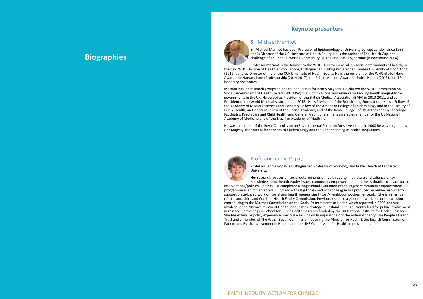## <span id="page-23-0"></span>**Biographies**



### **Keynote presenters**

Sir Michael Marmot

Sir Michael Marmot has been Professor of Epidemiology at University College London since 1985, and is Director of the UCL Institute of Health Equity. He is the author of The Health Gap: the challenge of an unequal world (Bloomsbury: 2015), and Status Syndrome (Bloomsbury: 2004).

Professor Marmot is the Advisor to the WHO Director-General, on social determinants of health, in the new WHO Division of Healthier Populations; Distinguished Visiting Professor at Chinese University of Hong Kong (2019-), and co-Director of the of the CUHK Institute of Health Equity. He is the recipient of the WHO Global Hero Award; the Harvard Lown Professorship (2014-2017); the Prince Mahidol Award for Public Health (2015), and 19 honorary doctorates.

Marmot has led research groups on health inequalities for nearly 50 years. He chaired the WHO Commission on Social Determinants of Health, several WHO Regional Commissions, and reviews on tackling health inequality for governments in the UK. He served as President of the British Medical Association (BMA) in 2010-2011, and as President of the World Medical Association in 2015. He is President of the British Lung Foundation. He is a Fellow of the Academy of Medical Sciences and Honorary Fellow of the American College of Epidemiology and of the Faculty of Public Health; an Honorary Fellow of the British Academy; and of the Royal Colleges of Obstetrics and Gynaecology, Psychiatry, Paediatrics and Child Health, and General Practitioners. He is an elected member of the US National Academy of Medicine and of the Brazilian Academy of Medicine.

He was a member of the Royal Commission on Environmental Pollution for six years and in 2000 he was knighted by Her Majesty The Queen, for services to epidemiology and the understanding of health inequalities.

### Professor Jennie Popay

Professor Jennie Popay is Distinguished Professor of Sociology and Public Health at Lancaster University.

Her research focuses on social determinants of health equity, the nature and salience of lay knowledge about health equity issues, community empowerment and the evaluation of place-based

interventions/policies. She has just completed a longitudinal evaluation of the largest community empowerment programme ever implemented in England – the Big Local - and with colleague has produced an online resource to support place-based work on social and health inequalities https://neighbourhoodresilience.uk. She is a member of the Lancashire and Cumbria Health Equity Commission. Previously she led a global network on social exclusion contributing to the Marmot Commission on the Social Determinants of Health which reported in 2008 and was involved in the Marmot review of Health Inequalities Strategy in England. She is currently lead for public involvement in research in the English School for Public Health Research funded by the UK National Institute for Health Research. She has extensive policy experience previously serving on Inaugural chair of the national charity, The People's Health Trust and a member of The Welsh Bevan Commission (advising the Minister for Health), the English Commission of Patient and Public Involvement in Health, and the NHS Commission for Health Improvement.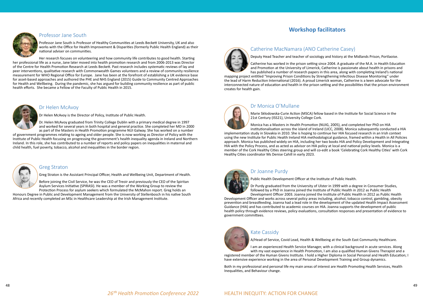### Professor Jane South

Professor Jane South is Professor of Healthy Communities at Leeds Beckett University, UK and also works with the Office for Health Improvement & Disparities (formerly Public Health England) as their national adviser on communities.

Her research focuses on volunteering and how community life contributes to good health. Starting her professional life as a nurse, Jane later moved into health promotion research and from 2006-2013 was Director of the Centre for Health Promotion Research at Leeds Beckett. Past research includes systematic reviews of lay and peer interventions, qualitative research with Commonwealth Games volunteers and a review of community resilience measurement for WHO Regional Office for Europe. Jane has been at the forefront of establishing a UK evidence base for asset-based approaches and authored the PHE and NHS England (2015) Guide to Community Centred Approaches for Health and Wellbeing. During the pandemic, she has argued for building community resilience as part of public health efforts. She became a Fellow of the Faculty of Public Health in 2015.



#### Dr Helen McAvoy

Dr Helen McAvoy is the Director of Policy, Institute of Public Health.

Dr. Helen McAvoy graduated from Trinity College Dublin with a primary medical degree in 1997 and worked for several years in both hospital and general practice. She completed her MD in 2000 as part of the Masters in Health Promotion programme NUI Galway. She has worked on a number

of government programmes relating to ageing and older people. She is now working as Director of Policy with the Institute of Public Health focusing on progressing the government's health inequality agenda in Ireland and Northern Ireland. In this role, she has contributed to a number of reports and policy papers on inequalities in maternal and child health, fuel poverty, tobacco, alcohol and inequalities in the border region.



#### Greg Straton

Greg Straton is the Assistant Principal Officer, Health and Wellbeing Unit, Department of Health.

Before joining the Civil Service, he was the CEO of Treoir and previously the CEO of the Spiritan Asylum Services Initiative (SPIRASI). He was a member of the Working Group to review the

Protection Process for asylum seekers which formulated the McMahon report. Greg holds an Honours Degree in Public and Development Management from the University of Stellenbosch in his native South Africa and recently completed an MSc in Healthcare Leadership at the Irish Management Institute.

### **Workshop facilitators**

<span id="page-24-0"></span>

### Catherine MacNamara (ANO Catherine Casey)



Deputy Head Teacher and teacher of sociology and history at the Midlands Prison, Portlaoise.

Catherine has worked in the prison setting since 2004. A graduate of the M.A. in Health Education and Promotion at the University of Limerick, Catherine is passionate about health in prisons and has published a number of research papers in this area, along with completing Ireland's national

mapping project entitled "Improving Prison Conditions by Strengthening Infectious Disease Monitoring" under the lead of Harm Reduction International (2016). A proud Limerick woman, Catherine is a keen advocate for the interconnected nature of education and health in the prison setting and the possibilities that the prison environment creates for health gain.

### Dr Monica O'Mullane

Marie Skłodowska-Curie Action (MSCA) fellow based in the Institute for Social Science in the



Monica has a Masters in Health Promotion (NUIG, 2005), and completed her PhD on HIA institutionalisation across the island of Ireland (UCC, 2008). Monica subsequently conducted a HIA

implementation study in Slovakia in 2010. She is hoping to continue her HIA focused research in an Irish context using the new Institute for Public Health Ireland HIA methodological guidance, framed within a Health in All Policies approach. Monica has published widely on HIA, including her two books [HIA and Policy Development](file:///C:/Users/Viv/OneDrive%20-%20National%20University%20of%20Ireland%2c%20Galway/Desktop/Health Impact Assessment and policy development) and [Integrating](https://global.oup.com/academic/product/integrating-health-impact-assessment-with-the-policy-process-9780199639960?cc=ie&lang=en&)  [HIA with the Policy Process,](https://global.oup.com/academic/product/integrating-health-impact-assessment-with-the-policy-process-9780199639960?cc=ie&lang=en&) and as acted as advisor on HIA policy at local and national policy levels. Monica is a member of the Cork Healthy Cities steering group and will co-edit a book 'Celebrating Cork Healthy Cities' with Cork Healthy Cities coordinator Ms Denise Cahill in early 2023.



### Dr Joanne Purdy

Public Health Development Officer at the Institute of Public Health.

Dr Purdy graduated from the University of Ulster in 1999 with a degree in Consumer Studies,

followed by a PhD in Joanna joined the Institute of Public Health in 2012 as Public Health Development Officer 2003. Joanna joined the Institute of Public Health in 2012 as Public Health Development Officer and works across several policy areas including, alcohol, tobacco control, gambling, obesity prevention and breastfeeding. Joanna had a lead role in the development of the updated Health Impact Assessment Guidance (HIA) and has contributed to academic courses on HIA. Joanna supports the development of public health policy through evidence reviews, policy evaluations, consultation responses and presentation of evidence to government committees.



### Kate Cassidy

A/Head of Service, Covid Lead, Health & Wellbeing at the South East Community Healthcare.

I am an experienced Health Service Manager, with a clinical background in acute services. Along with my vast experience in Health Promotion, I am also a qualified Human Givens Therapist and a

registered member of the Human Givens Institute. I hold a Higher Diploma in Social Personal and Health Education; I have extensive experience working in the area of Personal Development Training and Group dynamics.

Both in my professional and personal life my main areas of interest are Health Promoting Health Services, Health Inequalities, and Behaviour change.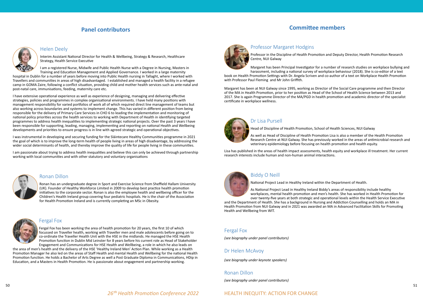### **Panel contributors**

#### Helen Deely

Interim Assistant National Director for Health & Wellbeing, Strategy & Research, Healthcare Strategy, Health Service Executive

I am a registered Nurse, Midwife and Public Health Nurse with a Degree in Nursing, Masters in Training and Education Management and Applied Governance. I worked in a large maternity

hospital in Dublin for a number of years before moving into Public Health nursing in Tallaght, where I worked with Travellers and communities in areas of high disadvantaged. I established and managed a health facility in a refugee camp in GOMA Zaire, following a conflict situation, providing child and mother health services such as ante-natal and post-natal care, immunisations, feeding, maternity care etc.

I have extensive operational experience as well as experience of designing, managing and delivering effective strategies, policies and programmes in complex organisational environments. I have held many positions with management responsibility for varied portfolios of work all of which required direct line management of teams but also working across boundaries and systems to implement change. This has varied in different position from being responsible for the delivery of Primary Care Services in CHO 6 to leading the implementation and monitoring of national policy priorities across the health services to working with Department of Health in identifying targeted programmes to address health inequalities to implementing strategic national projects. Over the past 3 years I have been responsible for supporting, leading, managing, implementing and reporting on national Health and Wellbeing developments and priorities to ensure progress is in line with agreed strategic and operational objectives.

I was instrumental in developing and securing funding for the Sláintecare Healthy Communities programme in 2021 the goal of which is to improve the long-term health of people living in areas of high disadvantage, by addressing the wider social determinants of health, and thereby improve the quality of life for people living in these communities.

I am passionate about trying to address health inequalities and believe this can only be achieved through partnership working with local communities and with other statutory and voluntary organisations



#### Ronan Dillon

Ronan has an undergraduate degree in Sport and Exercise Science from Sheffield Hallam University (UK). Founder of Healthy Workforce Limited in 2009 to develop best practice health promotion initiatives to the corporate sector. Ronan is also the employee health and wellbeing officer for the Children's Health Ireland group covering four pediatric hospitals. He is the chair of the Association for Health Promotion Ireland and is currently completing an MSc in Obesity.



#### Fergal Fox

Fergal Fox has been working the area of health promotion for 20 years, the first 10 of which focussed on Traveller health, working with Traveller men and male adolescents before going on to co-ordinate the Traveller Health Unit with the HSE in the midlands. He managed the HSE Health Promotion function in Dublin Mid Leinster for 8 years before his current role as Head of Stakeholder Engagement and Communications for HSE Health and Wellbeing, a role in which he also leads on

the area of men's health and the delivery of the HSE 'Healthy Ireland Men' Action Plan. While working as a Health Promotion Manager he also led on the areas of Staff Health and mental Health and Wellbeing for the national Health Promotion function. He holds a Bachelor of Arts Degree as well a Post Graduate Diploma in Communications, HDip in Education, and a Masters in Health Promotion. He is passionate about engagement and partnership working.



### **Committee members**

<span id="page-25-0"></span>

### Professor Margaret Hodgins

Professor in the Discipline of Health Promotion and Deputy Director, Health Promotion Research Centre, NUI Galway

Margaret has been Principal Investigator for a number of research studies on workplace bullying and harassment, including a national survey of workplace behaviour (2018). She is co-editor of a text

book on Health Promotion Settings with Dr. Angela Scriven and co-author of a text on Workplace Health Promotion with Professor Paul Fleming and Mr John Griffith.

Margaret has been at NUI Galway since 1995, working as Director of the Social Care programme and then Director of the MA in Health Promotion, prior to her position as Head of the School of Health Science between 2013 and 2017. She is again Programme Director of the MA/PGD in health promotion and academic director of the specialist certificate in workplace wellness.



#### Dr Lisa Pursell

Head of Discipline of Health Promotion, School of Health Sciences, NUI Galway

As well as Head of Discipline of Health Promotion Lisa is also a member of the Health Promotion Research Centre at NUI Galway. She has previously worked in the areas of antimicrobial research and veterinary epidemiology before focusing on health promotion and health equity.

Lisa has published in the areas of health impact assessments, health equity and workplace ill treatment. Her current research interests include human and non-human animal interactions.



### Biddy O Neill

National Project Lead in Healthy Ireland within the Department of Health.

As National Project Lead in Healthy Ireland Biddy's areas of responsibility include healthy workplaces, mental health promotion and men's health. She has worked in Health Promotion for over twenty-five years at both strategic and operational levels within the Health Service Executive

and the Department of Health. She has a background in Nursing and Addiction Counselling and holds an MA in Health Promotion from NUI Galway and in 2021 was awarded an MA in Advanced Facilitation Skills for Promoting Health and Wellbeing from WIT.

### Fergal Fox

*(see biography under panel contributors)*

#### Dr Helen McAvoy

*(see biography under keynote speakers)*

### Ronan Dillon

*(see biography under panel contributors)*